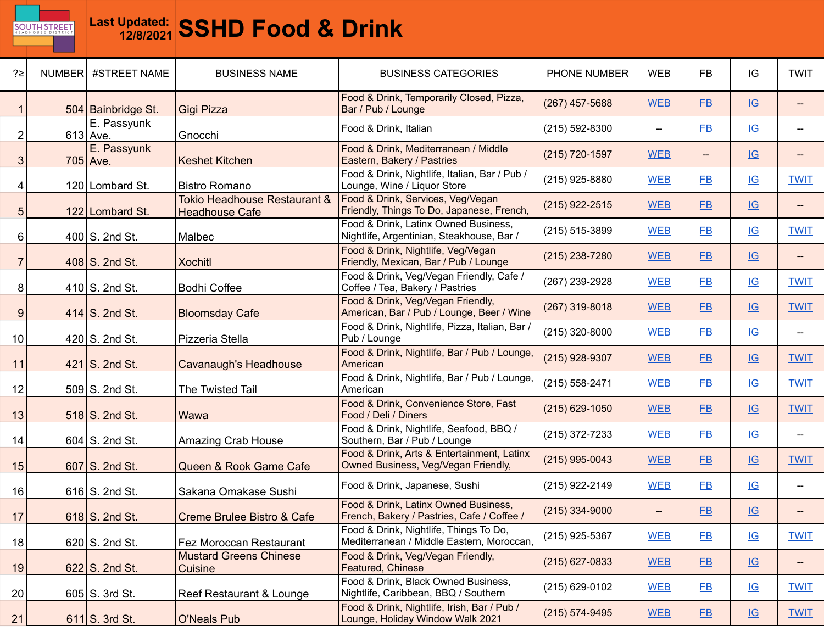

| ?≥             | NUMBER #STREET NAME     | <b>BUSINESS NAME</b>                                  | <b>BUSINESS CATEGORIES</b>                                                          | PHONE NUMBER       | <b>WEB</b> | <b>FB</b>                | IG                        | <b>TWIT</b> |
|----------------|-------------------------|-------------------------------------------------------|-------------------------------------------------------------------------------------|--------------------|------------|--------------------------|---------------------------|-------------|
|                | 504 Bainbridge St.      | Gigi Pizza                                            | Food & Drink, Temporarily Closed, Pizza,<br>Bar / Pub / Lounge                      | (267) 457-5688     | <b>WEB</b> | $E$ B                    | IG                        |             |
| 2              | E. Passyunk<br>613 Ave. | Gnocchi                                               | Food & Drink, Italian                                                               | $(215) 592 - 8300$ | --         | F <sub>B</sub>           | IG                        |             |
| 3              | E. Passyunk<br>705 Ave. | <b>Keshet Kitchen</b>                                 | Food & Drink, Mediterranean / Middle<br>Eastern, Bakery / Pastries                  | $(215)$ 720-1597   | <b>WEB</b> | $\overline{\phantom{a}}$ | IG                        |             |
| 4              | 120 Lombard St.         | <b>Bistro Romano</b>                                  | Food & Drink, Nightlife, Italian, Bar / Pub /<br>Lounge, Wine / Liquor Store        | $(215)$ 925-8880   | <b>WEB</b> | <b>FB</b>                | IG                        | <b>TWIT</b> |
| 5 <sub>5</sub> | 122 Lombard St.         | Tokio Headhouse Restaurant &<br><b>Headhouse Cafe</b> | Food & Drink, Services, Veg/Vegan<br>Friendly, Things To Do, Japanese, French,      | $(215)$ 922-2515   | <b>WEB</b> | $E$ B                    | IG                        |             |
| 6              | $400$ S. 2nd St.        | Malbec                                                | Food & Drink, Latinx Owned Business,<br>Nightlife, Argentinian, Steakhouse, Bar /   | (215) 515-3899     | <b>WEB</b> | <b>FB</b>                | IG                        | <b>TWIT</b> |
| 7              | 408 S. 2nd St.          | <b>Xochitl</b>                                        | Food & Drink, Nightlife, Veg/Vegan<br>Friendly, Mexican, Bar / Pub / Lounge         | $(215)$ 238-7280   | <b>WEB</b> | FB                       | $\underline{\mathsf{IG}}$ |             |
| 8              | $410$ S. 2nd St.        | <b>Bodhi Coffee</b>                                   | Food & Drink, Veg/Vegan Friendly, Cafe /<br>Coffee / Tea, Bakery / Pastries         | (267) 239-2928     | <b>WEB</b> | F <sub>B</sub>           | IG                        | <b>TWIT</b> |
| 9              | $414$ S. 2nd St.        | <b>Bloomsday Cafe</b>                                 | Food & Drink, Veg/Vegan Friendly,<br>American, Bar / Pub / Lounge, Beer / Wine      | (267) 319-8018     | <b>WEB</b> | <b>FB</b>                | IG                        | <b>TWIT</b> |
| 10             | $420$ S. 2nd St.        | Pizzeria Stella                                       | Food & Drink, Nightlife, Pizza, Italian, Bar /<br>Pub / Lounge                      | (215) 320-8000     | <b>WEB</b> | <b>FB</b>                | $\underline{\mathsf{IG}}$ |             |
| 11             | 421 S. 2nd St.          | Cavanaugh's Headhouse                                 | Food & Drink, Nightlife, Bar / Pub / Lounge,<br>American                            | (215) 928-9307     | <b>WEB</b> | <b>FB</b>                | IG                        | <b>TWIT</b> |
| 12             | 509 S. 2nd St.          | The Twisted Tail                                      | Food & Drink, Nightlife, Bar / Pub / Lounge,<br>American                            | (215) 558-2471     | <b>WEB</b> | <b>FB</b>                | IG                        | <b>TWIT</b> |
| 13             | 518 S. 2nd St.          | Wawa                                                  | Food & Drink, Convenience Store, Fast<br>Food / Deli / Diners                       | $(215)$ 629-1050   | <b>WEB</b> | $E$ B                    | $\underline{\mathsf{IG}}$ | <b>TWIT</b> |
| 14             | $604$ S. 2nd St.        | Amazing Crab House                                    | Food & Drink, Nightlife, Seafood, BBQ /<br>Southern, Bar / Pub / Lounge             | (215) 372-7233     | <b>WEB</b> | $E$ B                    | $\underline{\mathsf{IG}}$ |             |
| 15             | 607 S. 2nd St.          | Queen & Rook Game Cafe                                | Food & Drink, Arts & Entertainment, Latinx<br>Owned Business, Veg/Vegan Friendly,   | (215) 995-0043     | <b>WEB</b> | <b>FB</b>                | IG                        | <b>TWIT</b> |
| 16             | $616$ S. 2nd St.        | Sakana Omakase Sushi                                  | Food & Drink, Japanese, Sushi                                                       | (215) 922-2149     | <b>WEB</b> | $E$ B                    | $\underline{\mathsf{IG}}$ |             |
| 17             | $618$ S. 2nd St.        | Creme Brulee Bistro & Cafe                            | Food & Drink, Latinx Owned Business,<br>French, Bakery / Pastries, Cafe / Coffee /  | $(215)$ 334-9000   | $- -$      | $E$ B                    | IG                        |             |
| 18             | $620$ S. 2nd St.        | Fez Moroccan Restaurant                               | Food & Drink, Nightlife, Things To Do,<br>Mediterranean / Middle Eastern, Moroccan, | (215) 925-5367     | <b>WEB</b> | $E$ B                    | $\underline{\mathsf{IG}}$ | <b>TWIT</b> |
| 19             | $622$ S. 2nd St.        | <b>Mustard Greens Chinese</b><br>Cuisine              | Food & Drink, Veg/Vegan Friendly,<br>Featured, Chinese                              | (215) 627-0833     | <b>WEB</b> | $E$ B                    | $\underline{\mathsf{IG}}$ | $-\!$       |
| 20             | $605$ S. 3rd St.        | Reef Restaurant & Lounge                              | Food & Drink, Black Owned Business,<br>Nightlife, Caribbean, BBQ / Southern         | (215) 629-0102     | <b>WEB</b> | $E$ B                    | $\underline{\mathsf{IG}}$ | <b>TWIT</b> |
| 21             | $611$ S. 3rd St.        | <b>O'Neals Pub</b>                                    | Food & Drink, Nightlife, Irish, Bar / Pub /<br>Lounge, Holiday Window Walk 2021     | $(215) 574 - 9495$ | <b>WEB</b> | $E$ B                    | IG                        | <b>TWIT</b> |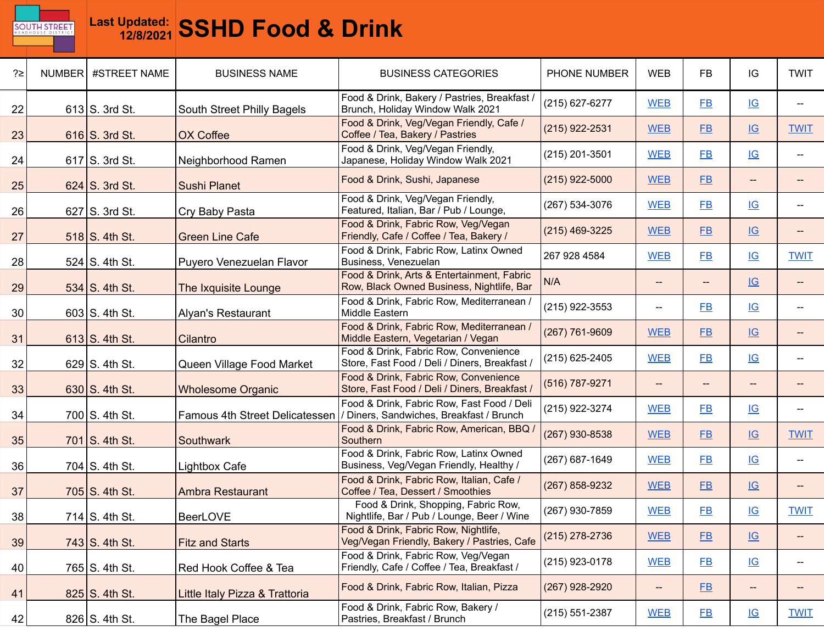

| ?≥              | NUMBER | #STREET NAME           | <b>BUSINESS NAME</b>           | <b>BUSINESS CATEGORIES</b>                                                              | PHONE NUMBER   | <b>WEB</b>                                          | <b>FB</b>      | IG                        | <b>TWIT</b>              |
|-----------------|--------|------------------------|--------------------------------|-----------------------------------------------------------------------------------------|----------------|-----------------------------------------------------|----------------|---------------------------|--------------------------|
| 22              |        | $613$ S. 3rd St.       | South Street Philly Bagels     | Food & Drink, Bakery / Pastries, Breakfast /<br>Brunch, Holiday Window Walk 2021        | (215) 627-6277 | <b>WEB</b>                                          | $E$ B          | IG                        |                          |
| 23              |        | $616$ S. 3rd St.       | OX Coffee                      | Food & Drink, Veg/Vegan Friendly, Cafe /<br>Coffee / Tea, Bakery / Pastries             | (215) 922-2531 | <b>WEB</b>                                          | $E$ B          | $\underline{\mathsf{IG}}$ | <b>TWIT</b>              |
| 24              |        | $617$ S. 3rd St.       | Neighborhood Ramen             | Food & Drink, Veg/Vegan Friendly,<br>Japanese, Holiday Window Walk 2021                 | (215) 201-3501 | <b>WEB</b>                                          | FB             | IG                        |                          |
| 25              |        | $624$ S. 3rd St.       | Sushi Planet                   | Food & Drink, Sushi, Japanese                                                           | (215) 922-5000 | <b>WEB</b>                                          | FB             | --                        |                          |
| 26              |        | $627$ S. 3rd St.       | Cry Baby Pasta                 | Food & Drink, Veg/Vegan Friendly,<br>Featured, Italian, Bar / Pub / Lounge,             | (267) 534-3076 | <b>WEB</b>                                          | $E$ B          | IG                        |                          |
| 27              |        | $518$ S. 4th St.       | <b>Green Line Cafe</b>         | Food & Drink, Fabric Row, Veg/Vegan<br>Friendly, Cafe / Coffee / Tea, Bakery /          | (215) 469-3225 | <b>WEB</b>                                          | E              | IG                        | $\overline{\phantom{a}}$ |
| 28              |        | $524$ S. 4th St.       | Puyero Venezuelan Flavor       | Food & Drink, Fabric Row, Latinx Owned<br>Business, Venezuelan                          | 267 928 4584   | <b>WEB</b>                                          | FB             | IG                        | <b>TWIT</b>              |
| 29              |        | 534 S. 4th St.         | The Ixquisite Lounge           | Food & Drink, Arts & Entertainment, Fabric<br>Row, Black Owned Business, Nightlife, Bar | N/A            | $-\!$                                               | --             | IG                        |                          |
| 30 <sup>°</sup> |        | $603$ S. 4th St.       | <b>Alyan's Restaurant</b>      | Food & Drink, Fabric Row, Mediterranean /<br>Middle Eastern                             | (215) 922-3553 | $\hspace{0.05cm} -\hspace{0.05cm} -\hspace{0.05cm}$ | F <sub>B</sub> | IG                        |                          |
| 31              |        | $613$ S. 4th St.       | Cilantro                       | Food & Drink, Fabric Row, Mediterranean /<br>Middle Eastern, Vegetarian / Vegan         | (267) 761-9609 | <b>WEB</b>                                          | FB             | IG                        |                          |
| 32              |        | $629$ S. 4th St.       | Queen Village Food Market      | Food & Drink, Fabric Row, Convenience<br>Store, Fast Food / Deli / Diners, Breakfast /  | (215) 625-2405 | <b>WEB</b>                                          | <b>FB</b>      | IG                        |                          |
| 33              |        | $630$ S. 4th St.       | <b>Wholesome Organic</b>       | Food & Drink, Fabric Row, Convenience<br>Store, Fast Food / Deli / Diners, Breakfast /  | (516) 787-9271 |                                                     | --             | --                        |                          |
| 34              |        | 700 S. 4th St.         | Famous 4th Street Delicatessen | Food & Drink, Fabric Row, Fast Food / Deli<br>/ Diners, Sandwiches, Breakfast / Brunch  | (215) 922-3274 | <b>WEB</b>                                          | <b>FB</b>      | IG                        |                          |
| 35              |        | 701 $\vert$ S. 4th St. | Southwark                      | Food & Drink, Fabric Row, American, BBQ<br>Southern                                     | (267) 930-8538 | <b>WEB</b>                                          | $E$ B          | IG                        | <b>TWIT</b>              |
| 36              |        | 704 $S.$ 4th St.       | Lightbox Cafe                  | Food & Drink, Fabric Row, Latinx Owned<br>Business, Veg/Vegan Friendly, Healthy /       | (267) 687-1649 | <b>WEB</b>                                          | F <sub>B</sub> | IG                        | $\overline{\phantom{a}}$ |
| 37              |        | 705 $S.$ 4th St.       | <b>Ambra Restaurant</b>        | Food & Drink, Fabric Row, Italian, Cafe /<br>Coffee / Tea, Dessert / Smoothies          | (267) 858-9232 | <b>WEB</b>                                          | <b>FB</b>      | IG                        |                          |
| 38              |        | 714 $\vert$ S. 4th St. | <b>BeerLOVE</b>                | Food & Drink, Shopping, Fabric Row,<br>Nightlife, Bar / Pub / Lounge, Beer / Wine       | (267) 930-7859 | <b>WEB</b>                                          | $E$ B          | IG                        | <b>TWIT</b>              |
| 39              |        | $743$ S. 4th St.       | <b>Fitz and Starts</b>         | Food & Drink, Fabric Row, Nightlife,<br>Veg/Vegan Friendly, Bakery / Pastries, Cafe     | (215) 278-2736 | <b>WEB</b>                                          | E              | $\underline{\mathsf{IG}}$ | --                       |
| 40              |        | 765 S. 4th St.         | Red Hook Coffee & Tea          | Food & Drink, Fabric Row, Veg/Vegan<br>Friendly, Cafe / Coffee / Tea, Breakfast /       | (215) 923-0178 | <b>WEB</b>                                          | E              | IG                        | $\hspace{0.05cm}$ –      |
| 41              |        | 825 S. 4th St.         | Little Italy Pizza & Trattoria | Food & Drink, Fabric Row, Italian, Pizza                                                | (267) 928-2920 | $\overline{\phantom{a}}$                            | E              | $- -$                     | $\overline{\phantom{a}}$ |
| 42              |        | 826 S. 4th St.         | The Bagel Place                | Food & Drink, Fabric Row, Bakery /<br>Pastries, Breakfast / Brunch                      | (215) 551-2387 | <b>WEB</b>                                          | $E$ B          | $\underline{\mathsf{IG}}$ | <b>TWIT</b>              |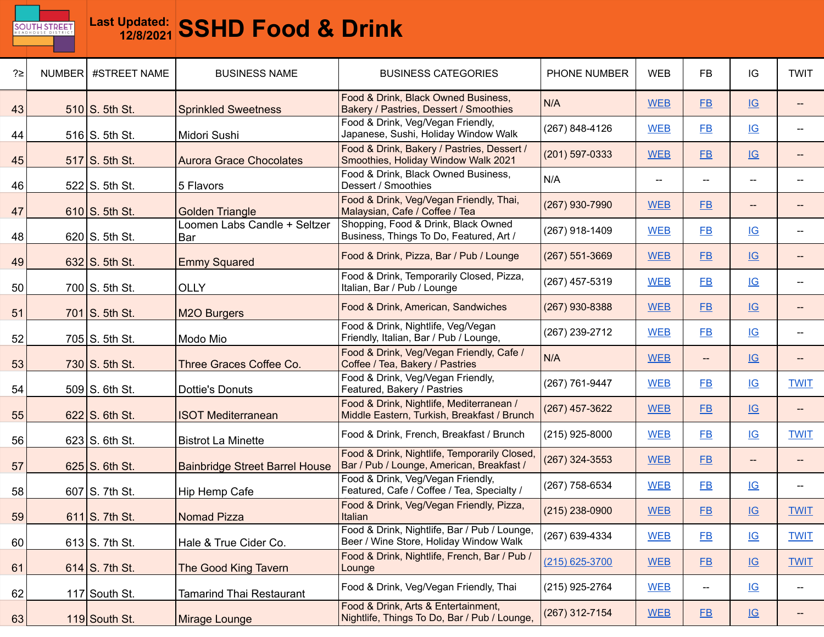

| ?≥ | NUMBER #STREET NAME    | <b>BUSINESS NAME</b>                  | <b>BUSINESS CATEGORIES</b>                                                                | PHONE NUMBER   | <b>WEB</b>               | <b>FB</b>      | IG                        | <b>TWIT</b>                        |
|----|------------------------|---------------------------------------|-------------------------------------------------------------------------------------------|----------------|--------------------------|----------------|---------------------------|------------------------------------|
| 43 | 510 S. 5th St.         | <b>Sprinkled Sweetness</b>            | Food & Drink, Black Owned Business,<br>Bakery / Pastries, Dessert / Smoothies             | N/A            | <b>WEB</b>               | $E$ B          | IG                        |                                    |
| 44 | $516$ S. 5th St.       | Midori Sushi                          | Food & Drink, Veg/Vegan Friendly,<br>Japanese, Sushi, Holiday Window Walk                 | (267) 848-4126 | <b>WEB</b>               | F <sub>B</sub> | IG                        |                                    |
| 45 | 517 S. 5th St.         | <b>Aurora Grace Chocolates</b>        | Food & Drink, Bakery / Pastries, Dessert /<br>Smoothies, Holiday Window Walk 2021         | (201) 597-0333 | <b>WEB</b>               | FB             | IG                        |                                    |
| 46 | $522$ S. 5th St.       | 5 Flavors                             | Food & Drink, Black Owned Business,<br>Dessert / Smoothies                                | N/A            | $\overline{\phantom{m}}$ | --             | $- -$                     |                                    |
| 47 | $610$ S. 5th St.       | <b>Golden Triangle</b>                | Food & Drink, Veg/Vegan Friendly, Thai,<br>Malaysian, Cafe / Coffee / Tea                 | (267) 930-7990 | <b>WEB</b>               | <b>FB</b>      | --                        |                                    |
| 48 | $620$ S. 5th St.       | Loomen Labs Candle + Seltzer<br>Bar   | Shopping, Food & Drink, Black Owned<br>Business, Things To Do, Featured, Art /            | (267) 918-1409 | <b>WEB</b>               | <b>FB</b>      | IG                        |                                    |
| 49 | $632$ S. 5th St.       | <b>Emmy Squared</b>                   | Food & Drink, Pizza, Bar / Pub / Lounge                                                   | (267) 551-3669 | <b>WEB</b>               | FB             | IG                        |                                    |
| 50 | 700 S. 5th St.         | <b>OLLY</b>                           | Food & Drink, Temporarily Closed, Pizza,<br>Italian, Bar / Pub / Lounge                   | (267) 457-5319 | <b>WEB</b>               | <b>FB</b>      | IG                        |                                    |
| 51 | 701 S. 5th St.         | <b>M2O Burgers</b>                    | Food & Drink, American, Sandwiches                                                        | (267) 930-8388 | <b>WEB</b>               | FB             | IG                        |                                    |
| 52 | $705$ S. 5th St.       | Modo Mio                              | Food & Drink, Nightlife, Veg/Vegan<br>Friendly, Italian, Bar / Pub / Lounge,              | (267) 239-2712 | <b>WEB</b>               | <b>FB</b>      | IG                        |                                    |
| 53 | $730$ S. 5th St.       | Three Graces Coffee Co.               | Food & Drink, Veg/Vegan Friendly, Cafe /<br>Coffee / Tea, Bakery / Pastries               | N/A            | <b>WEB</b>               | $--$           | IG                        |                                    |
| 54 | 509 S. 6th St.         | Dottie's Donuts                       | Food & Drink, Veg/Vegan Friendly,<br>Featured, Bakery / Pastries                          | (267) 761-9447 | <b>WEB</b>               | $E$ B          | $\underline{\mathsf{IG}}$ | <b>TWIT</b>                        |
| 55 | $622$ S. 6th St.       | <b>ISOT Mediterranean</b>             | Food & Drink, Nightlife, Mediterranean /<br>Middle Eastern, Turkish, Breakfast / Brunch   | (267) 457-3622 | <b>WEB</b>               | <b>FB</b>      | IG                        |                                    |
| 56 | $623$ S. 6th St.       | <b>Bistrot La Minette</b>             | Food & Drink, French, Breakfast / Brunch                                                  | (215) 925-8000 | <b>WEB</b>               | $E$ B          | $\underline{\mathsf{IG}}$ | <b>TWIT</b>                        |
| 57 | $625$ S. 6th St.       | <b>Bainbridge Street Barrel House</b> | Food & Drink, Nightlife, Temporarily Closed,<br>Bar / Pub / Lounge, American, Breakfast / | (267) 324-3553 | <b>WEB</b>               | FB             | --                        |                                    |
| 58 | $607$ S. 7th St.       | Hip Hemp Cafe                         | Food & Drink, Veg/Vegan Friendly,<br>Featured, Cafe / Coffee / Tea, Specialty /           | (267) 758-6534 | <b>WEB</b>               | <b>FB</b>      | IG                        | $\hspace{0.05cm}$                  |
| 59 | $611$ S. 7th St.       | <b>Nomad Pizza</b>                    | Food & Drink, Veg/Vegan Friendly, Pizza,<br>Italian                                       | (215) 238-0900 | <b>WEB</b>               | $E$ B          | IG                        | <b>TWIT</b>                        |
| 60 | $613$ S. 7th St.       | Hale & True Cider Co.                 | Food & Drink, Nightlife, Bar / Pub / Lounge<br>Beer / Wine Store, Holiday Window Walk     | (267) 639-4334 | <b>WEB</b>               | $E$ B          | IG                        | <b>TWIT</b>                        |
| 61 | 614 $\vert$ S. 7th St. | The Good King Tavern                  | Food & Drink, Nightlife, French, Bar / Pub /<br>Lounge                                    | (215) 625-3700 | <b>WEB</b>               | E              | IG                        | <b>TWIT</b>                        |
| 62 | 117 South St.          | <b>Tamarind Thai Restaurant</b>       | Food & Drink, Veg/Vegan Friendly, Thai                                                    | (215) 925-2764 | <b>WEB</b>               | ÷              | IG                        | $\hspace{0.05cm} -\hspace{0.05cm}$ |
| 63 | 119 South St.          | Mirage Lounge                         | Food & Drink, Arts & Entertainment,<br>Nightlife, Things To Do, Bar / Pub / Lounge,       | (267) 312-7154 | <b>WEB</b>               | $E$ B          | $\underline{\mathsf{IG}}$ |                                    |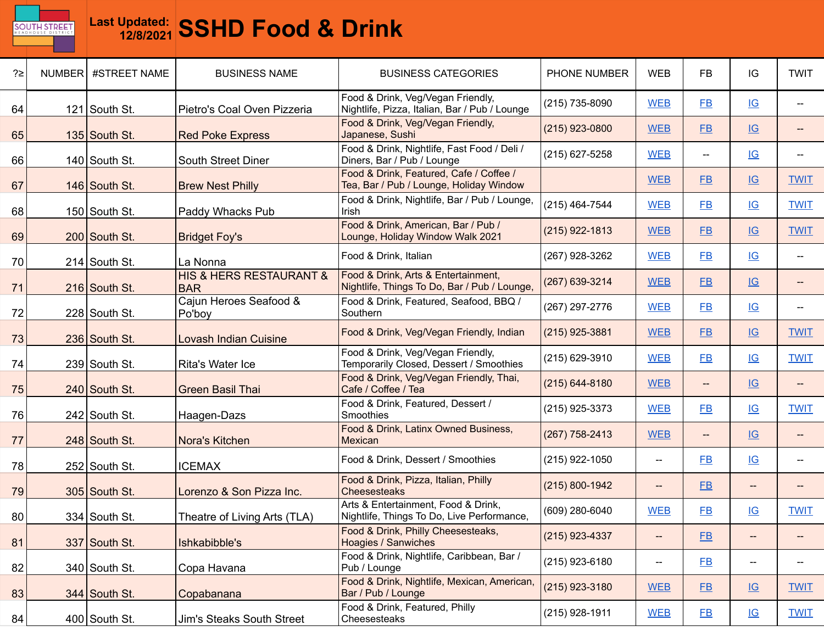

| ?≥ | NUMBER #STREET NAME | <b>BUSINESS NAME</b>                                 | <b>BUSINESS CATEGORIES</b>                                                          | PHONE NUMBER   | <b>WEB</b>               | <b>FB</b>                | IG                        | <b>TWIT</b>              |
|----|---------------------|------------------------------------------------------|-------------------------------------------------------------------------------------|----------------|--------------------------|--------------------------|---------------------------|--------------------------|
| 64 | 121 South St.       | Pietro's Coal Oven Pizzeria                          | Food & Drink, Veg/Vegan Friendly,<br>Nightlife, Pizza, Italian, Bar / Pub / Lounge  | (215) 735-8090 | <b>WEB</b>               | <b>FB</b>                | IG                        |                          |
| 65 | 135 South St.       | <b>Red Poke Express</b>                              | Food & Drink, Veg/Vegan Friendly,<br>Japanese, Sushi                                | (215) 923-0800 | <b>WEB</b>               | $E$ B                    | IG                        |                          |
| 66 | 140 South St.       | South Street Diner                                   | Food & Drink, Nightlife, Fast Food / Deli /<br>Diners, Bar / Pub / Lounge           | (215) 627-5258 | <b>WEB</b>               | --                       | $\underline{\mathsf{IG}}$ |                          |
| 67 | 146 South St.       | <b>Brew Nest Philly</b>                              | Food & Drink, Featured, Cafe / Coffee /<br>Tea, Bar / Pub / Lounge, Holiday Window  |                | <b>WEB</b>               | FB                       | IG                        | <b>TWIT</b>              |
| 68 | 150 South St.       | Paddy Whacks Pub                                     | Food & Drink, Nightlife, Bar / Pub / Lounge,<br>Irish                               | (215) 464-7544 | <b>WEB</b>               | <b>FB</b>                | IG                        | <b>TWIT</b>              |
| 69 | 200 South St.       | <b>Bridget Foy's</b>                                 | Food & Drink, American, Bar / Pub /<br>Lounge, Holiday Window Walk 2021             | (215) 922-1813 | <b>WEB</b>               | $E$ B                    | IG                        | <b>TWIT</b>              |
| 70 | 214 South St.       | La Nonna                                             | Food & Drink, Italian                                                               | (267) 928-3262 | <b>WEB</b>               | <b>FB</b>                | IG                        | --                       |
| 71 | 216 South St.       | <b>HIS &amp; HERS RESTAURANT &amp;</b><br><b>BAR</b> | Food & Drink, Arts & Entertainment,<br>Nightlife, Things To Do, Bar / Pub / Lounge, | (267) 639-3214 | <b>WEB</b>               | $E$ B                    | IG                        |                          |
| 72 | $228$ South St.     | Cajun Heroes Seafood &<br>Po'boy                     | Food & Drink, Featured, Seafood, BBQ /<br>Southern                                  | (267) 297-2776 | <b>WEB</b>               | FB                       | $\underline{\mathsf{IG}}$ | $\overline{\phantom{a}}$ |
| 73 | 236 South St.       | <b>Lovash Indian Cuisine</b>                         | Food & Drink, Veg/Vegan Friendly, Indian                                            | (215) 925-3881 | <b>WEB</b>               | FB                       | IG                        | <b>TWIT</b>              |
| 74 | 239 South St.       | Rita's Water Ice                                     | Food & Drink, Veg/Vegan Friendly,<br>Temporarily Closed, Dessert / Smoothies        | (215) 629-3910 | <b>WEB</b>               | <b>FB</b>                | IG                        | <b>TWIT</b>              |
| 75 | 240 South St.       | <b>Green Basil Thai</b>                              | Food & Drink, Veg/Vegan Friendly, Thai,<br>Cafe / Coffee / Tea                      | (215) 644-8180 | <b>WEB</b>               | $\overline{\phantom{a}}$ | IG                        | $\qquad \qquad -$        |
| 76 | 242 South St.       | Haagen-Dazs                                          | Food & Drink, Featured, Dessert /<br>Smoothies                                      | (215) 925-3373 | <b>WEB</b>               | <b>FB</b>                | IG                        | <b>TWIT</b>              |
| 77 | $248$ South St.     | Nora's Kitchen                                       | Food & Drink, Latinx Owned Business,<br>Mexican                                     | (267) 758-2413 | <b>WEB</b>               | --                       | $\underline{\mathsf{IG}}$ |                          |
| 78 | 252 South St.       | <b>ICEMAX</b>                                        | Food & Drink, Dessert / Smoothies                                                   | (215) 922-1050 | $\overline{a}$           | FB                       | $\underline{\mathsf{IG}}$ |                          |
| 79 | $305$ South St.     | Lorenzo & Son Pizza Inc.                             | Food & Drink, Pizza, Italian, Philly<br><b>Cheesesteaks</b>                         | (215) 800-1942 | $\overline{\phantom{a}}$ | F <sub>B</sub>           | $-\!$                     |                          |
| 80 | 334 South St.       | Theatre of Living Arts (TLA)                         | Arts & Entertainment, Food & Drink,<br>Nightlife, Things To Do, Live Performance,   | (609) 280-6040 | <b>WEB</b>               | $E$ B                    | IG                        | <b>TWIT</b>              |
| 81 | 337 South St.       | Ishkabibble's                                        | Food & Drink, Philly Cheesesteaks,<br><b>Hoagies / Sanwiches</b>                    | (215) 923-4337 | $- -$                    | E                        | $- -$                     | $\overline{\phantom{a}}$ |
| 82 | 340 South St.       | Copa Havana                                          | Food & Drink, Nightlife, Caribbean, Bar /<br>Pub / Lounge                           | (215) 923-6180 | $- -$                    | E                        | --                        |                          |
| 83 | 344 South St.       | Copabanana                                           | Food & Drink, Nightlife, Mexican, American,<br>Bar / Pub / Lounge                   | (215) 923-3180 | <b>WEB</b>               | E                        | IG                        | <b>TWIT</b>              |
| 84 | $400$ South St.     | Jim's Steaks South Street                            | Food & Drink, Featured, Philly<br>Cheesesteaks                                      | (215) 928-1911 | <b>WEB</b>               | $E$ B                    | $\underline{\mathsf{IG}}$ | <b>TWIT</b>              |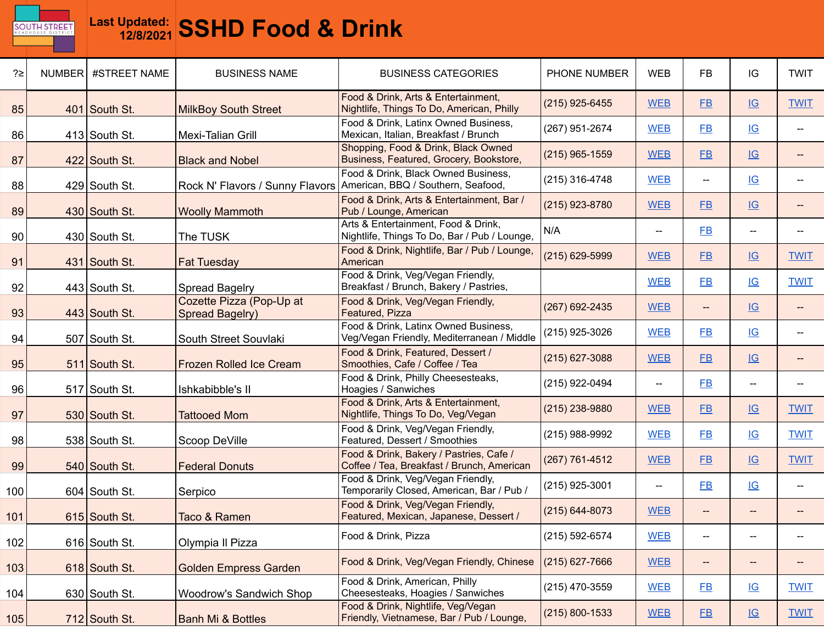

| ?≥  | NUMBER | #STREET NAME    | <b>BUSINESS NAME</b>                        | <b>BUSINESS CATEGORIES</b>                                                            | PHONE NUMBER   | <b>WEB</b>                            | <b>FB</b> | IG                                                  | <b>TWIT</b>              |
|-----|--------|-----------------|---------------------------------------------|---------------------------------------------------------------------------------------|----------------|---------------------------------------|-----------|-----------------------------------------------------|--------------------------|
| 85  |        | 401 South St.   | <b>MilkBoy South Street</b>                 | Food & Drink, Arts & Entertainment,<br>Nightlife, Things To Do, American, Philly      | (215) 925-6455 | <b>WEB</b>                            | $E$ B     | IG                                                  | <b>TWIT</b>              |
| 86  |        | $413$ South St. | Mexi-Talian Grill                           | Food & Drink, Latinx Owned Business,<br>Mexican, Italian, Breakfast / Brunch          | (267) 951-2674 | <b>WEB</b>                            | $E$ B     | IG                                                  |                          |
| 87  |        | 422 South St.   | <b>Black and Nobel</b>                      | Shopping, Food & Drink, Black Owned<br>Business, Featured, Grocery, Bookstore,        | (215) 965-1559 | <b>WEB</b>                            | <b>FB</b> | IG                                                  |                          |
| 88  |        | 429 South St.   | Rock N' Flavors / Sunny Flavors             | Food & Drink, Black Owned Business,<br>American, BBQ / Southern, Seafood,             | (215) 316-4748 | <b>WEB</b>                            | --        | IG                                                  |                          |
| 89  |        | 430 South St.   | <b>Woolly Mammoth</b>                       | Food & Drink, Arts & Entertainment, Bar /<br>Pub / Lounge, American                   | (215) 923-8780 | <b>WEB</b>                            | $E$ B     | IG                                                  |                          |
| 90  |        | $430$ South St. | The TUSK                                    | Arts & Entertainment, Food & Drink,<br>Nightlife, Things To Do, Bar / Pub / Lounge,   | N/A            |                                       | <b>FB</b> | $\hspace{0.05cm} -\hspace{0.05cm} -\hspace{0.05cm}$ |                          |
| 91  |        | 431 South St.   | <b>Fat Tuesday</b>                          | Food & Drink, Nightlife, Bar / Pub / Lounge,<br>American                              | (215) 629-5999 | <b>WEB</b>                            | FB        | IG                                                  | <b>TWIT</b>              |
| 92  |        | $443$ South St. | <b>Spread Bagelry</b>                       | Food & Drink, Veg/Vegan Friendly,<br>Breakfast / Brunch, Bakery / Pastries,           |                | <b>WEB</b>                            | $E$ B     | IG                                                  | <b>TWIT</b>              |
| 93  |        | 443 South St.   | Cozette Pizza (Pop-Up at<br>Spread Bagelry) | Food & Drink, Veg/Vegan Friendly,<br>Featured, Pizza                                  | (267) 692-2435 | <b>WEB</b>                            | --        | IG                                                  |                          |
| 94  |        | 507 South St.   | South Street Souvlaki                       | Food & Drink, Latinx Owned Business,<br>Veg/Vegan Friendly, Mediterranean / Middle    | (215) 925-3026 | <b>WEB</b>                            | <b>FB</b> | IG                                                  |                          |
| 95  |        | 511 South St.   | Frozen Rolled Ice Cream                     | Food & Drink, Featured, Dessert /<br>Smoothies, Cafe / Coffee / Tea                   | (215) 627-3088 | <b>WEB</b>                            | <b>FB</b> | IG                                                  |                          |
| 96  |        | 517 South St.   | Ishkabibble's II                            | Food & Drink, Philly Cheesesteaks,<br>Hoagies / Sanwiches                             | (215) 922-0494 | $\hspace{0.05cm}$ – $\hspace{0.05cm}$ | <b>FB</b> | $\overline{\phantom{a}}$                            |                          |
| 97  |        | 530 South St.   | <b>Tattooed Mom</b>                         | Food & Drink, Arts & Entertainment,<br>Nightlife, Things To Do, Veg/Vegan             | (215) 238-9880 | <b>WEB</b>                            | FB        | IG                                                  | <b>TWIT</b>              |
| 98  |        | 538 South St.   | Scoop DeVille                               | Food & Drink, Veg/Vegan Friendly,<br>Featured, Dessert / Smoothies                    | (215) 988-9992 | <b>WEB</b>                            | $E$ B     | $\underline{\mathsf{IG}}$                           | <b>TWIT</b>              |
| 99  |        | 540 South St.   | <b>Federal Donuts</b>                       | Food & Drink, Bakery / Pastries, Cafe /<br>Coffee / Tea, Breakfast / Brunch, American | (267) 761-4512 | <b>WEB</b>                            | EB        | IG                                                  | <b>TWIT</b>              |
| 100 |        | $604$ South St. | Serpico                                     | Food & Drink, Veg/Vegan Friendly,<br>Temporarily Closed, American, Bar / Pub /        | (215) 925-3001 | $\hspace{0.05cm}$ $\hspace{0.05cm}$   | $E$ B     | IG                                                  | $\overline{\phantom{a}}$ |
| 101 |        | 615 South St.   | Taco & Ramen                                | Food & Drink, Veg/Vegan Friendly,<br>Featured, Mexican, Japanese, Dessert /           | (215) 644-8073 | <b>WEB</b>                            | --        |                                                     |                          |
| 102 |        | 616 South St.   | Olympia II Pizza                            | Food & Drink, Pizza                                                                   | (215) 592-6574 | <b>WEB</b>                            | $-\!$     | --                                                  |                          |
| 103 |        | 618 South St.   | <b>Golden Empress Garden</b>                | Food & Drink, Veg/Vegan Friendly, Chinese                                             | (215) 627-7666 | <b>WEB</b>                            | $-\!$     | $-\!$                                               |                          |
| 104 |        | 630 South St.   | Woodrow's Sandwich Shop                     | Food & Drink, American, Philly<br>Cheesesteaks, Hoagies / Sanwiches                   | (215) 470-3559 | <b>WEB</b>                            | $E$ B     | IG                                                  | <b>TWIT</b>              |
| 105 |        | 712 South St.   | <b>Banh Mi &amp; Bottles</b>                | Food & Drink, Nightlife, Veg/Vegan<br>Friendly, Vietnamese, Bar / Pub / Lounge,       | (215) 800-1533 | <b>WEB</b>                            | E         | IG                                                  | <b>TWIT</b>              |